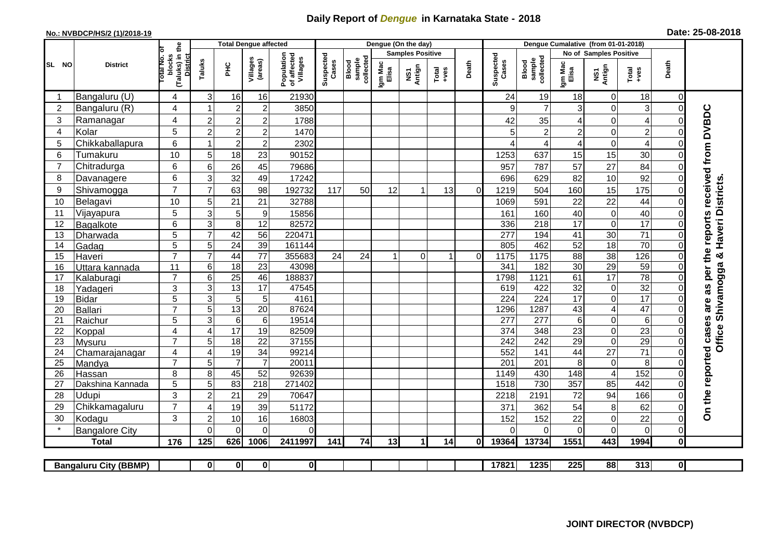## **Daily Report of** *Dengue* **in Karnataka State - 2018**

## **No.: NVBDCP/HS/2 (1)/2018-19 Date: 25-08-2018**

|                                                                                                                                  | <b>District</b>                 |                                                              | <b>Total Dengue affected</b>            |                       |                       |                                       |                    |                              | Dengue (On the day)     |               |                  |                |                    |                              |                       |                         |                                    |                         |                                            |
|----------------------------------------------------------------------------------------------------------------------------------|---------------------------------|--------------------------------------------------------------|-----------------------------------------|-----------------------|-----------------------|---------------------------------------|--------------------|------------------------------|-------------------------|---------------|------------------|----------------|--------------------|------------------------------|-----------------------|-------------------------|------------------------------------|-------------------------|--------------------------------------------|
|                                                                                                                                  |                                 |                                                              |                                         |                       |                       | Population<br>of affected<br>Villages |                    |                              | <b>Samples Positive</b> |               |                  |                |                    |                              |                       | No of Samples Positive  |                                    |                         |                                            |
| SL NO                                                                                                                            |                                 | (Taluks) in the<br>Total No. of<br>blocks<br><b>District</b> | Taluks                                  | ЭHС                   | Villages<br>(areas)   |                                       | Suspected<br>Cases | sample<br>collected<br>Blood | Igm Mac<br>Elisa        | NS1<br>Antign | $Tota$<br>$+ves$ | Death          | Suspected<br>Cases | collected<br>sample<br>Blood | Igm Mac<br>Elisa      | NS1<br>Antign           | Total<br>+ves                      | Death                   |                                            |
|                                                                                                                                  | Bangaluru (U)                   | 4                                                            | 3                                       | 16                    | 16                    | 21930                                 |                    |                              |                         |               |                  |                | 24                 | 19                           | 18                    | 0                       | 18                                 | $\mathbf 0$             |                                            |
| 2                                                                                                                                | Bangaluru (R)                   | 4                                                            |                                         | $\overline{2}$        | $\overline{c}$        | 3850                                  |                    |                              |                         |               |                  |                | 9                  | $\overline{7}$               | 3                     | $\mathbf 0$             | 3                                  | $\mathbf 0$             |                                            |
| 3                                                                                                                                | Ramanagar                       | 4                                                            | $\overline{2}$                          | $\overline{2}$        | $\overline{c}$        | 1788                                  |                    |                              |                         |               |                  |                | 42                 | 35                           | 4                     | $\overline{0}$          | $\overline{\mathbf{4}}$            | $\Omega$                | are as per the reports received from DVBDC |
| 4                                                                                                                                | Kolar                           | 5                                                            | $\overline{2}$                          | $\boldsymbol{2}$      | $\overline{c}$        | 1470                                  |                    |                              |                         |               |                  |                | 5                  | $\overline{c}$               | $\overline{c}$        | $\overline{0}$          | $\overline{c}$                     | $\mathbf 0$             |                                            |
| 5                                                                                                                                | Chikkaballapura                 | 6                                                            |                                         | $\boldsymbol{2}$      | $\overline{c}$        | 2302                                  |                    |                              |                         |               |                  |                |                    | 4                            | 4                     | $\mathbf 0$             | $\overline{4}$                     | $\Omega$                |                                            |
| 6                                                                                                                                | Tumakuru                        | 10                                                           | 5                                       | 18                    | 23                    | 90152                                 |                    |                              |                         |               |                  |                | 1253               | 637                          | 15                    | 15                      | 30                                 | $\Omega$                |                                            |
|                                                                                                                                  | Chitradurga                     | 6                                                            | 6                                       | 26                    | 45                    | 79686                                 |                    |                              |                         |               |                  |                | 957                | 787                          | 57                    | 27                      | 84                                 | $\Omega$                |                                            |
| 8                                                                                                                                | Davanagere                      | 6                                                            | 3                                       | 32                    | 49                    | 17242                                 |                    |                              |                         |               |                  |                | 696                | 629                          | 82                    | 10                      | 92                                 | $\mathbf 0$             |                                            |
| 9                                                                                                                                | Shivamogga                      | $\overline{7}$                                               | $\overline{7}$                          | 63                    | 98                    | 192732                                | 117                | 50                           | 12                      | 1             | 13               | $\Omega$       | 1219               | 504                          | 160                   | 15                      | 175                                | $\mathbf 0$             |                                            |
| 10                                                                                                                               | Belagavi                        | 10                                                           | 5                                       | 21                    | 21                    | 32788                                 |                    |                              |                         |               |                  |                | 1069               | 591                          | 22                    | 22                      | 44                                 | $\Omega$                | Haveri Districts                           |
| 11                                                                                                                               | Vijayapura                      | 5                                                            | 3                                       | $\sqrt{5}$            | $\boldsymbol{9}$      | 15856                                 |                    |                              |                         |               |                  |                | 161                | 160                          | 40                    | 0                       | 40                                 | $\mathbf 0$             |                                            |
| 12                                                                                                                               | Bagalkote                       | 6                                                            | 3                                       | 8                     | $\overline{12}$       | 82572                                 |                    |                              |                         |               |                  |                | 336                | 218                          | $\overline{17}$       | 0                       | 17                                 | $\mathbf 0$             |                                            |
| 13                                                                                                                               | Dharwada                        | $\overline{5}$                                               | $\overline{7}$                          | 42                    | 56                    | 220471                                |                    |                              |                         |               |                  |                | 277                | 194                          | $\overline{41}$       | 30                      | $\overline{71}$                    | $\overline{0}$          |                                            |
| 14                                                                                                                               | Gadag                           | 5                                                            | 5                                       | $\overline{24}$       | 39                    | 161144                                |                    |                              |                         |               |                  |                | 805                | 462                          | 52                    | 18                      | 70                                 | $\Omega$                |                                            |
| 15                                                                                                                               | Haveri                          | $\overline{7}$                                               | $\overline{7}$                          | 44                    | 77                    | 355683                                | 24                 | 24                           |                         | $\Omega$      | 1                | $\overline{0}$ | 1175               | 1175                         | 88                    | $\overline{38}$         | 126                                | $\mathbf 0$             |                                            |
| 16                                                                                                                               | Uttara kannada                  | 11                                                           | 6                                       | $\overline{18}$       | $\overline{23}$       | 43098                                 |                    |                              |                         |               |                  |                | 341                | 182                          | $\overline{30}$       | 29                      | 59                                 | $\mathbf 0$             |                                            |
| 17                                                                                                                               | Kalaburagi                      | $\overline{7}$                                               | 6                                       | $\overline{25}$       | 46                    | 188837                                |                    |                              |                         |               |                  |                | 1798               | 1121                         | 61                    | $\overline{17}$         | $\overline{78}$                    | $\Omega$                |                                            |
| 18                                                                                                                               | Yadageri                        | 3                                                            | 3                                       | 13                    | 17                    | 47545                                 |                    |                              |                         |               |                  |                | 619                | 422                          | 32                    | $\pmb{0}$               | 32                                 | $\Omega$                |                                            |
| 19                                                                                                                               | <b>Bidar</b>                    | 5                                                            | $\mathbf{3}$                            | 5                     | 5                     | 4161                                  |                    |                              |                         |               |                  |                | 224                | 224                          | $\overline{17}$       | 0                       | 17                                 | $\Omega$                |                                            |
| 20                                                                                                                               | Ballari                         | $\overline{7}$                                               | 5                                       | 13                    | $\overline{20}$       | 87624                                 |                    |                              |                         |               |                  |                | 1296               | 1287                         | 43                    | $\overline{\mathbf{4}}$ | 47                                 | $\Omega$                | Shivamogga &                               |
| 21                                                                                                                               | Raichur                         | $\overline{5}$<br>4                                          | $\overline{3}$<br>$\boldsymbol{\Delta}$ | $6\phantom{1}6$       | $\overline{6}$        | 19514                                 |                    |                              |                         |               |                  |                | $\overline{277}$   | 277                          | $6\phantom{1}$        | 0                       | $\overline{6}$                     | $\mathbf 0$             |                                            |
| 22<br>23                                                                                                                         | Koppal                          | $\overline{7}$                                               | 5                                       | 17<br>$\overline{18}$ | 19<br>$\overline{22}$ | 82509<br>37155                        |                    |                              |                         |               |                  |                | 374<br>242         | 348<br>242                   | 23<br>$\overline{29}$ | 0<br>0                  | $\overline{23}$<br>$\overline{29}$ | $\Omega$<br>$\mathbf 0$ | Office                                     |
| 24                                                                                                                               | <b>Mysuru</b><br>Chamarajanagar | 4                                                            | 4                                       | 19                    | $\overline{34}$       | 99214                                 |                    |                              |                         |               |                  |                | 552                | 141                          | 44                    | $\overline{27}$         | $\overline{71}$                    | $\mathbf 0$             |                                            |
| 25                                                                                                                               | Mandya                          | $\overline{7}$                                               | 5                                       | $\overline{7}$        | $\overline{7}$        | 20011                                 |                    |                              |                         |               |                  |                | 201                | $\overline{201}$             | 8                     | $\boldsymbol{0}$        | 8                                  | $\Omega$                |                                            |
| 26                                                                                                                               | Hassan                          | 8                                                            | 8                                       | 45                    | 52                    | 92639                                 |                    |                              |                         |               |                  |                | 1149               | 430                          | 148                   | $\overline{4}$          | 152                                | $\Omega$                |                                            |
| 27                                                                                                                               | Dakshina Kannada                | 5                                                            | 5                                       | 83                    | 218                   | 271402                                |                    |                              |                         |               |                  |                | 1518               | 730                          | 357                   | 85                      | 442                                | $\mathbf 0$             |                                            |
| 28                                                                                                                               | Udupi                           | 3                                                            | $\overline{c}$                          | 21                    | 29                    | 70647                                 |                    |                              |                         |               |                  |                | 2218               | 2191                         | 72                    | 94                      | 166                                | $\Omega$                |                                            |
| 29                                                                                                                               | Chikkamagaluru                  | $\overline{7}$                                               | ⊿                                       | 19                    | 39                    | 51172                                 |                    |                              |                         |               |                  |                | 371                | 362                          | 54                    | 8                       | 62                                 | 0                       | On the reported cases                      |
| 30                                                                                                                               | Kodagu                          | 3                                                            | $\overline{2}$                          | $10$                  | 16                    | 16803                                 |                    |                              |                         |               |                  |                | 152                | 152                          | 22                    | 0                       | 22                                 | $\mathbf 0$             |                                            |
|                                                                                                                                  | <b>Bangalore City</b>           |                                                              | $\Omega$                                | $\mathbf{0}$          | $\Omega$              | 0                                     |                    |                              |                         |               |                  |                | $\Omega$           | $\Omega$                     | $\Omega$              | $\Omega$                | $\mathbf 0$                        | $\mathbf 0$             |                                            |
|                                                                                                                                  | <b>Total</b>                    | 176                                                          | 125                                     | 626                   | 1006                  | 2411997                               | 141                | 74                           | 13                      | 1             | 14               | ΩI             | 19364              | 13734                        | 1551                  | 443                     | 1994                               | $\mathbf 0$             |                                            |
|                                                                                                                                  |                                 |                                                              |                                         |                       |                       |                                       |                    |                              |                         |               |                  |                |                    |                              |                       |                         |                                    |                         |                                            |
| 0 <br>17821<br>1235<br>225<br>88<br>313<br>$\overline{0}$<br>$\mathbf{0}$<br>$\mathbf{0}$<br> 0 <br><b>Bangaluru City (BBMP)</b> |                                 |                                                              |                                         |                       |                       |                                       |                    |                              |                         |               |                  |                |                    |                              |                       |                         |                                    |                         |                                            |